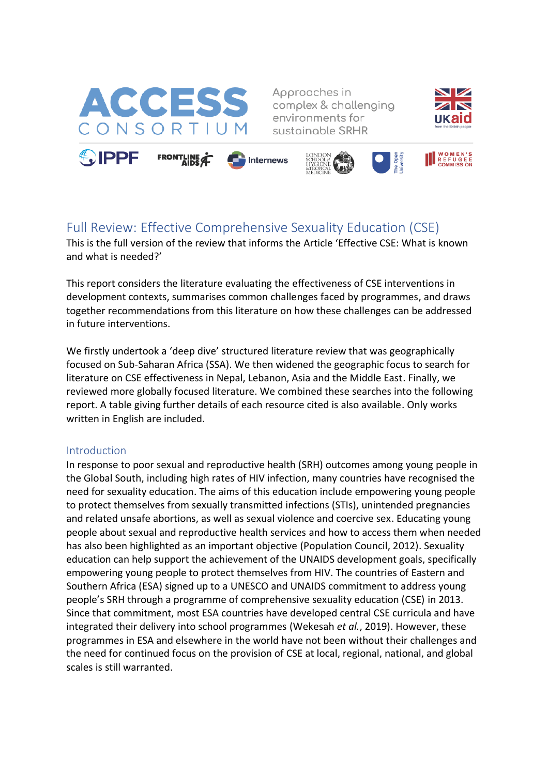

Approaches in complex & challenging environments for sustainable SRHR





# Full Review: Effective Comprehensive Sexuality Education (CSE)

This is the full version of the review that informs the Article 'Effective CSE: What is known and what is needed?'

This report considers the literature evaluating the effectiveness of CSE interventions in development contexts, summarises common challenges faced by programmes, and draws together recommendations from this literature on how these challenges can be addressed in future interventions.

We firstly undertook a 'deep dive' structured literature review that was geographically focused on Sub-Saharan Africa (SSA). We then widened the geographic focus to search for literature on CSE effectiveness in Nepal, Lebanon, Asia and the Middle East. Finally, we reviewed more globally focused literature. We combined these searches into the following report. A table giving further details of each resource cited is also available. Only works written in English are included.

## Introduction

In response to poor sexual and reproductive health (SRH) outcomes among young people in the Global South, including high rates of HIV infection, many countries have recognised the need for sexuality education. The aims of this education include empowering young people to protect themselves from sexually transmitted infections (STIs), unintended pregnancies and related unsafe abortions, as well as sexual violence and coercive sex. Educating young people about sexual and reproductive health services and how to access them when needed has also been highlighted as an important objective (Population Council, 2012). Sexuality education can help support the achievement of the UNAIDS development goals, specifically empowering young people to protect themselves from HIV. The countries of Eastern and Southern Africa (ESA) signed up to a UNESCO and UNAIDS commitment to address young people's SRH through a programme of comprehensive sexuality education (CSE) in 2013. Since that commitment, most ESA countries have developed central CSE curricula and have integrated their delivery into school programmes (Wekesah *et al.*, 2019). However, these programmes in ESA and elsewhere in the world have not been without their challenges and the need for continued focus on the provision of CSE at local, regional, national, and global scales is still warranted.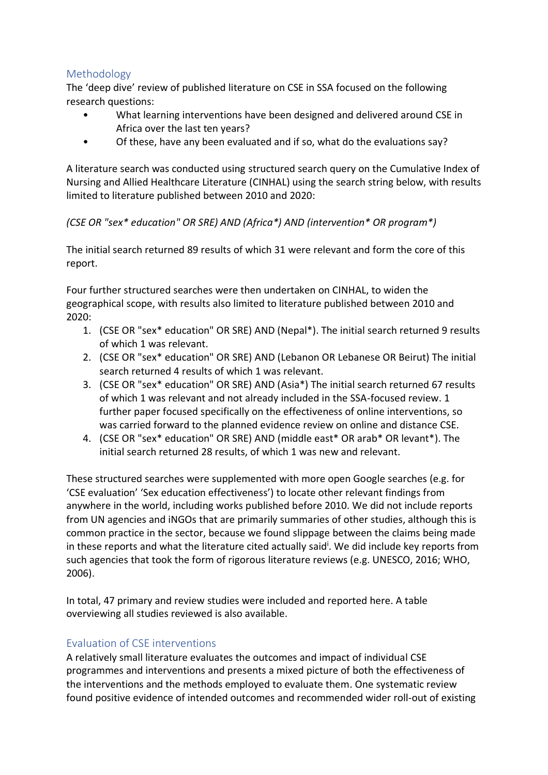## Methodology

The 'deep dive' review of published literature on CSE in SSA focused on the following research questions:

- What learning interventions have been designed and delivered around CSE in Africa over the last ten years?
- Of these, have any been evaluated and if so, what do the evaluations say?

A literature search was conducted using structured search query on the Cumulative Index of Nursing and Allied Healthcare Literature (CINHAL) using the search string below, with results limited to literature published between 2010 and 2020:

## *(CSE OR "sex\* education" OR SRE) AND (Africa\*) AND (intervention\* OR program\*)*

The initial search returned 89 results of which 31 were relevant and form the core of this report.

Four further structured searches were then undertaken on CINHAL, to widen the geographical scope, with results also limited to literature published between 2010 and 2020:

- 1. (CSE OR "sex\* education" OR SRE) AND (Nepal\*). The initial search returned 9 results of which 1 was relevant.
- 2. (CSE OR "sex\* education" OR SRE) AND (Lebanon OR Lebanese OR Beirut) The initial search returned 4 results of which 1 was relevant.
- 3. (CSE OR "sex\* education" OR SRE) AND (Asia\*) The initial search returned 67 results of which 1 was relevant and not already included in the SSA-focused review. 1 further paper focused specifically on the effectiveness of online interventions, so was carried forward to the planned evidence review on online and distance CSE.
- 4. (CSE OR "sex\* education" OR SRE) AND (middle east\* OR arab\* OR levant\*). The initial search returned 28 results, of which 1 was new and relevant.

These structured searches were supplemented with more open Google searches (e.g. for 'CSE evaluation' 'Sex education effectiveness') to locate other relevant findings from anywhere in the world, including works published before 2010. We did not include reports from UN agencies and iNGOs that are primarily summaries of other studies, although this is common practice in the sector, because we found slippage between the claims being made in these reports and what the literature cited actually said<sup>i</sup>. We did include key reports from such agencies that took the form of rigorous literature reviews (e.g. UNESCO, 2016; WHO, 2006).

In total, 47 primary and review studies were included and reported here. A table overviewing all studies reviewed is also available.

## Evaluation of CSE interventions

A relatively small literature evaluates the outcomes and impact of individual CSE programmes and interventions and presents a mixed picture of both the effectiveness of the interventions and the methods employed to evaluate them. One systematic review found positive evidence of intended outcomes and recommended wider roll-out of existing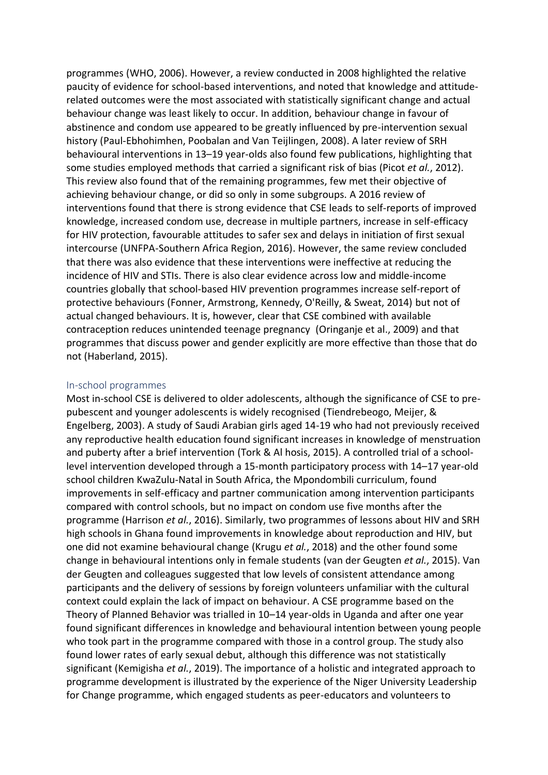programmes (WHO, 2006). However, a review conducted in 2008 highlighted the relative paucity of evidence for school-based interventions, and noted that knowledge and attituderelated outcomes were the most associated with statistically significant change and actual behaviour change was least likely to occur. In addition, behaviour change in favour of abstinence and condom use appeared to be greatly influenced by pre-intervention sexual history (Paul-Ebhohimhen, Poobalan and Van Teijlingen, 2008). A later review of SRH behavioural interventions in 13–19 year-olds also found few publications, highlighting that some studies employed methods that carried a significant risk of bias (Picot *et al.*, 2012). This review also found that of the remaining programmes, few met their objective of achieving behaviour change, or did so only in some subgroups. A 2016 review of interventions found that there is strong evidence that CSE leads to self-reports of improved knowledge, increased condom use, decrease in multiple partners, increase in self-efficacy for HIV protection, favourable attitudes to safer sex and delays in initiation of first sexual intercourse (UNFPA-Southern Africa Region, 2016). However, the same review concluded that there was also evidence that these interventions were ineffective at reducing the incidence of HIV and STIs. There is also clear evidence across low and middle-income countries globally that school-based HIV prevention programmes increase self-report of protective behaviours (Fonner, Armstrong, Kennedy, O'Reilly, & Sweat, 2014) but not of actual changed behaviours. It is, however, clear that CSE combined with available contraception reduces unintended teenage pregnancy (Oringanje et al., 2009) and that programmes that discuss power and gender explicitly are more effective than those that do not (Haberland, 2015).

#### In-school programmes

Most in-school CSE is delivered to older adolescents, although the significance of CSE to prepubescent and younger adolescents is widely recognised (Tiendrebeogo, Meijer, & Engelberg, 2003). A study of Saudi Arabian girls aged 14-19 who had not previously received any reproductive health education found significant increases in knowledge of menstruation and puberty after a brief intervention (Tork & Al hosis, 2015). A controlled trial of a schoollevel intervention developed through a 15-month participatory process with 14–17 year-old school children KwaZulu-Natal in South Africa, the Mpondombili curriculum, found improvements in self-efficacy and partner communication among intervention participants compared with control schools, but no impact on condom use five months after the programme (Harrison *et al.*, 2016). Similarly, two programmes of lessons about HIV and SRH high schools in Ghana found improvements in knowledge about reproduction and HIV, but one did not examine behavioural change (Krugu *et al.*, 2018) and the other found some change in behavioural intentions only in female students (van der Geugten *et al.*, 2015). Van der Geugten and colleagues suggested that low levels of consistent attendance among participants and the delivery of sessions by foreign volunteers unfamiliar with the cultural context could explain the lack of impact on behaviour. A CSE programme based on the Theory of Planned Behavior was trialled in 10–14 year-olds in Uganda and after one year found significant differences in knowledge and behavioural intention between young people who took part in the programme compared with those in a control group. The study also found lower rates of early sexual debut, although this difference was not statistically significant (Kemigisha *et al.*, 2019). The importance of a holistic and integrated approach to programme development is illustrated by the experience of the Niger University Leadership for Change programme, which engaged students as peer-educators and volunteers to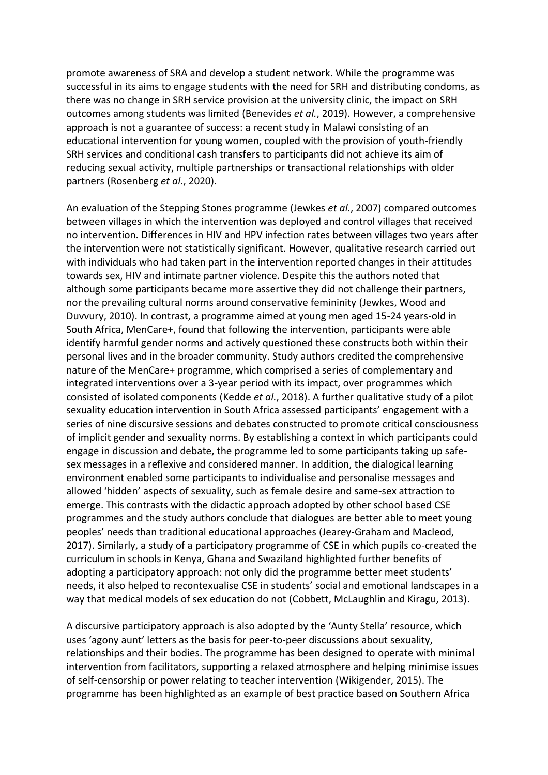promote awareness of SRA and develop a student network. While the programme was successful in its aims to engage students with the need for SRH and distributing condoms, as there was no change in SRH service provision at the university clinic, the impact on SRH outcomes among students was limited (Benevides *et al.*, 2019). However, a comprehensive approach is not a guarantee of success: a recent study in Malawi consisting of an educational intervention for young women, coupled with the provision of youth-friendly SRH services and conditional cash transfers to participants did not achieve its aim of reducing sexual activity, multiple partnerships or transactional relationships with older partners (Rosenberg *et al.*, 2020).

An evaluation of the Stepping Stones programme (Jewkes *et al.*, 2007) compared outcomes between villages in which the intervention was deployed and control villages that received no intervention. Differences in HIV and HPV infection rates between villages two years after the intervention were not statistically significant. However, qualitative research carried out with individuals who had taken part in the intervention reported changes in their attitudes towards sex, HIV and intimate partner violence. Despite this the authors noted that although some participants became more assertive they did not challenge their partners, nor the prevailing cultural norms around conservative femininity (Jewkes, Wood and Duvvury, 2010). In contrast, a programme aimed at young men aged 15-24 years-old in South Africa, MenCare+, found that following the intervention, participants were able identify harmful gender norms and actively questioned these constructs both within their personal lives and in the broader community. Study authors credited the comprehensive nature of the MenCare+ programme, which comprised a series of complementary and integrated interventions over a 3-year period with its impact, over programmes which consisted of isolated components (Kedde *et al.*, 2018). A further qualitative study of a pilot sexuality education intervention in South Africa assessed participants' engagement with a series of nine discursive sessions and debates constructed to promote critical consciousness of implicit gender and sexuality norms. By establishing a context in which participants could engage in discussion and debate, the programme led to some participants taking up safesex messages in a reflexive and considered manner. In addition, the dialogical learning environment enabled some participants to individualise and personalise messages and allowed 'hidden' aspects of sexuality, such as female desire and same-sex attraction to emerge. This contrasts with the didactic approach adopted by other school based CSE programmes and the study authors conclude that dialogues are better able to meet young peoples' needs than traditional educational approaches (Jearey-Graham and Macleod, 2017). Similarly, a study of a participatory programme of CSE in which pupils co-created the curriculum in schools in Kenya, Ghana and Swaziland highlighted further benefits of adopting a participatory approach: not only did the programme better meet students' needs, it also helped to recontexualise CSE in students' social and emotional landscapes in a way that medical models of sex education do not (Cobbett, McLaughlin and Kiragu, 2013).

A discursive participatory approach is also adopted by the 'Aunty Stella' resource, which uses 'agony aunt' letters as the basis for peer-to-peer discussions about sexuality, relationships and their bodies. The programme has been designed to operate with minimal intervention from facilitators, supporting a relaxed atmosphere and helping minimise issues of self-censorship or power relating to teacher intervention (Wikigender, 2015). The programme has been highlighted as an example of best practice based on Southern Africa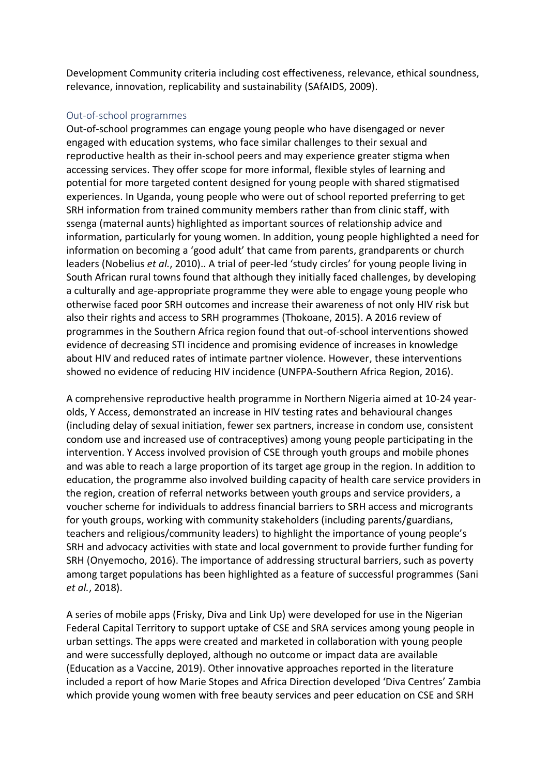Development Community criteria including cost effectiveness, relevance, ethical soundness, relevance, innovation, replicability and sustainability (SAfAIDS, 2009).

#### Out-of-school programmes

Out-of-school programmes can engage young people who have disengaged or never engaged with education systems, who face similar challenges to their sexual and reproductive health as their in-school peers and may experience greater stigma when accessing services. They offer scope for more informal, flexible styles of learning and potential for more targeted content designed for young people with shared stigmatised experiences. In Uganda, young people who were out of school reported preferring to get SRH information from trained community members rather than from clinic staff, with ssenga (maternal aunts) highlighted as important sources of relationship advice and information, particularly for young women. In addition, young people highlighted a need for information on becoming a 'good adult' that came from parents, grandparents or church leaders (Nobelius *et al.*, 2010).. A trial of peer-led 'study circles' for young people living in South African rural towns found that although they initially faced challenges, by developing a culturally and age-appropriate programme they were able to engage young people who otherwise faced poor SRH outcomes and increase their awareness of not only HIV risk but also their rights and access to SRH programmes (Thokoane, 2015). A 2016 review of programmes in the Southern Africa region found that out-of-school interventions showed evidence of decreasing STI incidence and promising evidence of increases in knowledge about HIV and reduced rates of intimate partner violence. However, these interventions showed no evidence of reducing HIV incidence (UNFPA-Southern Africa Region, 2016).

A comprehensive reproductive health programme in Northern Nigeria aimed at 10-24 yearolds, Y Access, demonstrated an increase in HIV testing rates and behavioural changes (including delay of sexual initiation, fewer sex partners, increase in condom use, consistent condom use and increased use of contraceptives) among young people participating in the intervention. Y Access involved provision of CSE through youth groups and mobile phones and was able to reach a large proportion of its target age group in the region. In addition to education, the programme also involved building capacity of health care service providers in the region, creation of referral networks between youth groups and service providers, a voucher scheme for individuals to address financial barriers to SRH access and microgrants for youth groups, working with community stakeholders (including parents/guardians, teachers and religious/community leaders) to highlight the importance of young people's SRH and advocacy activities with state and local government to provide further funding for SRH (Onyemocho, 2016). The importance of addressing structural barriers, such as poverty among target populations has been highlighted as a feature of successful programmes (Sani *et al.*, 2018).

A series of mobile apps (Frisky, Diva and Link Up) were developed for use in the Nigerian Federal Capital Territory to support uptake of CSE and SRA services among young people in urban settings. The apps were created and marketed in collaboration with young people and were successfully deployed, although no outcome or impact data are available (Education as a Vaccine, 2019). Other innovative approaches reported in the literature included a report of how Marie Stopes and Africa Direction developed 'Diva Centres' Zambia which provide young women with free beauty services and peer education on CSE and SRH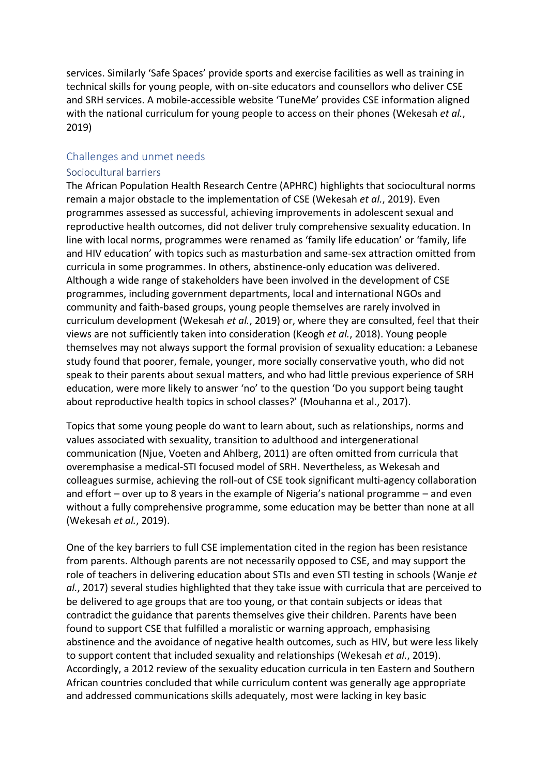services. Similarly 'Safe Spaces' provide sports and exercise facilities as well as training in technical skills for young people, with on-site educators and counsellors who deliver CSE and SRH services. A mobile-accessible website 'TuneMe' provides CSE information aligned with the national curriculum for young people to access on their phones (Wekesah *et al.*, 2019)

## Challenges and unmet needs

#### Sociocultural barriers

The African Population Health Research Centre (APHRC) highlights that sociocultural norms remain a major obstacle to the implementation of CSE (Wekesah *et al.*, 2019). Even programmes assessed as successful, achieving improvements in adolescent sexual and reproductive health outcomes, did not deliver truly comprehensive sexuality education. In line with local norms, programmes were renamed as 'family life education' or 'family, life and HIV education' with topics such as masturbation and same-sex attraction omitted from curricula in some programmes. In others, abstinence-only education was delivered. Although a wide range of stakeholders have been involved in the development of CSE programmes, including government departments, local and international NGOs and community and faith-based groups, young people themselves are rarely involved in curriculum development (Wekesah *et al.*, 2019) or, where they are consulted, feel that their views are not sufficiently taken into consideration (Keogh *et al.*, 2018). Young people themselves may not always support the formal provision of sexuality education: a Lebanese study found that poorer, female, younger, more socially conservative youth, who did not speak to their parents about sexual matters, and who had little previous experience of SRH education, were more likely to answer 'no' to the question 'Do you support being taught about reproductive health topics in school classes?' (Mouhanna et al., 2017).

Topics that some young people do want to learn about, such as relationships, norms and values associated with sexuality, transition to adulthood and intergenerational communication (Njue, Voeten and Ahlberg, 2011) are often omitted from curricula that overemphasise a medical-STI focused model of SRH. Nevertheless, as Wekesah and colleagues surmise, achieving the roll-out of CSE took significant multi-agency collaboration and effort – over up to 8 years in the example of Nigeria's national programme – and even without a fully comprehensive programme, some education may be better than none at all (Wekesah *et al.*, 2019).

One of the key barriers to full CSE implementation cited in the region has been resistance from parents. Although parents are not necessarily opposed to CSE, and may support the role of teachers in delivering education about STIs and even STI testing in schools (Wanje *et al.*, 2017) several studies highlighted that they take issue with curricula that are perceived to be delivered to age groups that are too young, or that contain subjects or ideas that contradict the guidance that parents themselves give their children. Parents have been found to support CSE that fulfilled a moralistic or warning approach, emphasising abstinence and the avoidance of negative health outcomes, such as HIV, but were less likely to support content that included sexuality and relationships (Wekesah *et al.*, 2019). Accordingly, a 2012 review of the sexuality education curricula in ten Eastern and Southern African countries concluded that while curriculum content was generally age appropriate and addressed communications skills adequately, most were lacking in key basic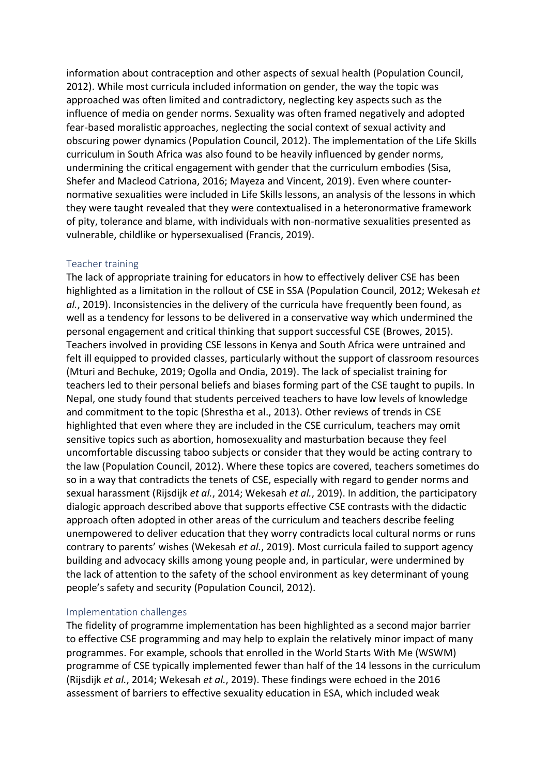information about contraception and other aspects of sexual health (Population Council, 2012). While most curricula included information on gender, the way the topic was approached was often limited and contradictory, neglecting key aspects such as the influence of media on gender norms. Sexuality was often framed negatively and adopted fear-based moralistic approaches, neglecting the social context of sexual activity and obscuring power dynamics (Population Council, 2012). The implementation of the Life Skills curriculum in South Africa was also found to be heavily influenced by gender norms, undermining the critical engagement with gender that the curriculum embodies (Sisa, Shefer and Macleod Catriona, 2016; Mayeza and Vincent, 2019). Even where counternormative sexualities were included in Life Skills lessons, an analysis of the lessons in which they were taught revealed that they were contextualised in a heteronormative framework of pity, tolerance and blame, with individuals with non-normative sexualities presented as vulnerable, childlike or hypersexualised (Francis, 2019).

#### Teacher training

The lack of appropriate training for educators in how to effectively deliver CSE has been highlighted as a limitation in the rollout of CSE in SSA (Population Council, 2012; Wekesah *et al.*, 2019). Inconsistencies in the delivery of the curricula have frequently been found, as well as a tendency for lessons to be delivered in a conservative way which undermined the personal engagement and critical thinking that support successful CSE (Browes, 2015). Teachers involved in providing CSE lessons in Kenya and South Africa were untrained and felt ill equipped to provided classes, particularly without the support of classroom resources (Mturi and Bechuke, 2019; Ogolla and Ondia, 2019). The lack of specialist training for teachers led to their personal beliefs and biases forming part of the CSE taught to pupils. In Nepal, one study found that students perceived teachers to have low levels of knowledge and commitment to the topic (Shrestha et al., 2013). Other reviews of trends in CSE highlighted that even where they are included in the CSE curriculum, teachers may omit sensitive topics such as abortion, homosexuality and masturbation because they feel uncomfortable discussing taboo subjects or consider that they would be acting contrary to the law (Population Council, 2012). Where these topics are covered, teachers sometimes do so in a way that contradicts the tenets of CSE, especially with regard to gender norms and sexual harassment (Rijsdijk *et al.*, 2014; Wekesah *et al.*, 2019). In addition, the participatory dialogic approach described above that supports effective CSE contrasts with the didactic approach often adopted in other areas of the curriculum and teachers describe feeling unempowered to deliver education that they worry contradicts local cultural norms or runs contrary to parents' wishes (Wekesah *et al.*, 2019). Most curricula failed to support agency building and advocacy skills among young people and, in particular, were undermined by the lack of attention to the safety of the school environment as key determinant of young people's safety and security (Population Council, 2012).

## Implementation challenges

The fidelity of programme implementation has been highlighted as a second major barrier to effective CSE programming and may help to explain the relatively minor impact of many programmes. For example, schools that enrolled in the World Starts With Me (WSWM) programme of CSE typically implemented fewer than half of the 14 lessons in the curriculum (Rijsdijk *et al.*, 2014; Wekesah *et al.*, 2019). These findings were echoed in the 2016 assessment of barriers to effective sexuality education in ESA, which included weak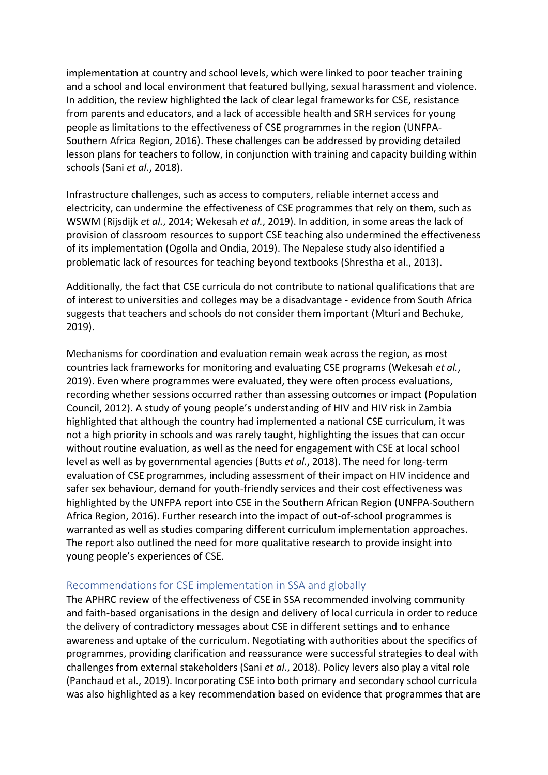implementation at country and school levels, which were linked to poor teacher training and a school and local environment that featured bullying, sexual harassment and violence. In addition, the review highlighted the lack of clear legal frameworks for CSE, resistance from parents and educators, and a lack of accessible health and SRH services for young people as limitations to the effectiveness of CSE programmes in the region (UNFPA-Southern Africa Region, 2016). These challenges can be addressed by providing detailed lesson plans for teachers to follow, in conjunction with training and capacity building within schools (Sani *et al.*, 2018).

Infrastructure challenges, such as access to computers, reliable internet access and electricity, can undermine the effectiveness of CSE programmes that rely on them, such as WSWM (Rijsdijk *et al.*, 2014; Wekesah *et al.*, 2019). In addition, in some areas the lack of provision of classroom resources to support CSE teaching also undermined the effectiveness of its implementation (Ogolla and Ondia, 2019). The Nepalese study also identified a problematic lack of resources for teaching beyond textbooks (Shrestha et al., 2013).

Additionally, the fact that CSE curricula do not contribute to national qualifications that are of interest to universities and colleges may be a disadvantage - evidence from South Africa suggests that teachers and schools do not consider them important (Mturi and Bechuke, 2019).

Mechanisms for coordination and evaluation remain weak across the region, as most countries lack frameworks for monitoring and evaluating CSE programs (Wekesah *et al.*, 2019). Even where programmes were evaluated, they were often process evaluations, recording whether sessions occurred rather than assessing outcomes or impact (Population Council, 2012). A study of young people's understanding of HIV and HIV risk in Zambia highlighted that although the country had implemented a national CSE curriculum, it was not a high priority in schools and was rarely taught, highlighting the issues that can occur without routine evaluation, as well as the need for engagement with CSE at local school level as well as by governmental agencies (Butts *et al.*, 2018). The need for long-term evaluation of CSE programmes, including assessment of their impact on HIV incidence and safer sex behaviour, demand for youth-friendly services and their cost effectiveness was highlighted by the UNFPA report into CSE in the Southern African Region (UNFPA-Southern Africa Region, 2016). Further research into the impact of out-of-school programmes is warranted as well as studies comparing different curriculum implementation approaches. The report also outlined the need for more qualitative research to provide insight into young people's experiences of CSE.

#### Recommendations for CSE implementation in SSA and globally

The APHRC review of the effectiveness of CSE in SSA recommended involving community and faith-based organisations in the design and delivery of local curricula in order to reduce the delivery of contradictory messages about CSE in different settings and to enhance awareness and uptake of the curriculum. Negotiating with authorities about the specifics of programmes, providing clarification and reassurance were successful strategies to deal with challenges from external stakeholders (Sani *et al.*, 2018). Policy levers also play a vital role (Panchaud et al., 2019). Incorporating CSE into both primary and secondary school curricula was also highlighted as a key recommendation based on evidence that programmes that are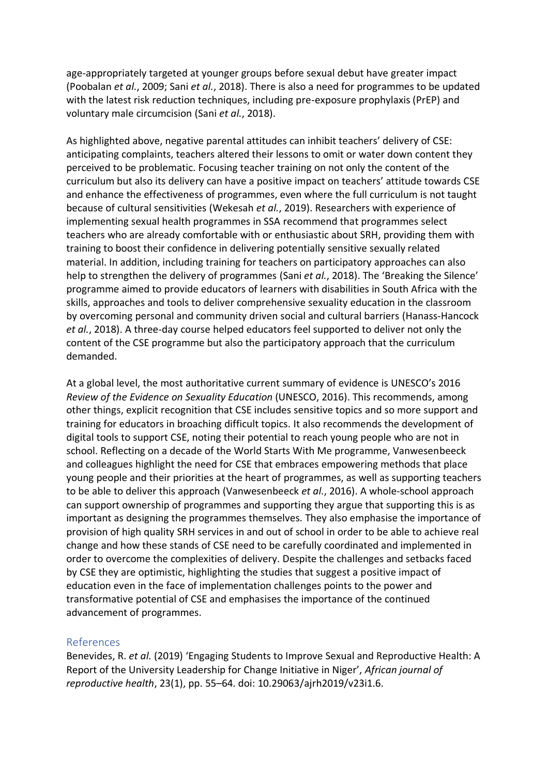age-appropriately targeted at younger groups before sexual debut have greater impact (Poobalan *et al.*, 2009; Sani *et al.*, 2018). There is also a need for programmes to be updated with the latest risk reduction techniques, including pre-exposure prophylaxis (PrEP) and voluntary male circumcision (Sani *et al.*, 2018).

As highlighted above, negative parental attitudes can inhibit teachers' delivery of CSE: anticipating complaints, teachers altered their lessons to omit or water down content they perceived to be problematic. Focusing teacher training on not only the content of the curriculum but also its delivery can have a positive impact on teachers' attitude towards CSE and enhance the effectiveness of programmes, even where the full curriculum is not taught because of cultural sensitivities (Wekesah *et al.*, 2019). Researchers with experience of implementing sexual health programmes in SSA recommend that programmes select teachers who are already comfortable with or enthusiastic about SRH, providing them with training to boost their confidence in delivering potentially sensitive sexually related material. In addition, including training for teachers on participatory approaches can also help to strengthen the delivery of programmes (Sani *et al.*, 2018). The 'Breaking the Silence' programme aimed to provide educators of learners with disabilities in South Africa with the skills, approaches and tools to deliver comprehensive sexuality education in the classroom by overcoming personal and community driven social and cultural barriers (Hanass-Hancock *et al.*, 2018). A three-day course helped educators feel supported to deliver not only the content of the CSE programme but also the participatory approach that the curriculum demanded.

At a global level, the most authoritative current summary of evidence is UNESCO's 2016 *Review of the Evidence on Sexuality Education* (UNESCO, 2016). This recommends, among other things, explicit recognition that CSE includes sensitive topics and so more support and training for educators in broaching difficult topics. It also recommends the development of digital tools to support CSE, noting their potential to reach young people who are not in school. Reflecting on a decade of the World Starts With Me programme, Vanwesenbeeck and colleagues highlight the need for CSE that embraces empowering methods that place young people and their priorities at the heart of programmes, as well as supporting teachers to be able to deliver this approach (Vanwesenbeeck *et al.*, 2016). A whole-school approach can support ownership of programmes and supporting they argue that supporting this is as important as designing the programmes themselves. They also emphasise the importance of provision of high quality SRH services in and out of school in order to be able to achieve real change and how these stands of CSE need to be carefully coordinated and implemented in order to overcome the complexities of delivery. Despite the challenges and setbacks faced by CSE they are optimistic, highlighting the studies that suggest a positive impact of education even in the face of implementation challenges points to the power and transformative potential of CSE and emphasises the importance of the continued advancement of programmes.

#### References

Benevides, R. *et al.* (2019) 'Engaging Students to Improve Sexual and Reproductive Health: A Report of the University Leadership for Change Initiative in Niger', *African journal of reproductive health*, 23(1), pp. 55–64. doi: 10.29063/ajrh2019/v23i1.6.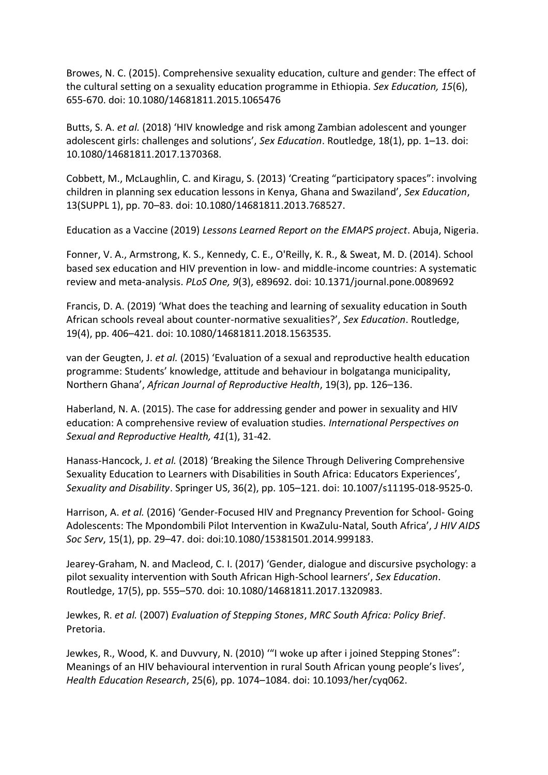Browes, N. C. (2015). Comprehensive sexuality education, culture and gender: The effect of the cultural setting on a sexuality education programme in Ethiopia. *Sex Education, 15*(6), 655-670. doi: 10.1080/14681811.2015.1065476

Butts, S. A. *et al.* (2018) 'HIV knowledge and risk among Zambian adolescent and younger adolescent girls: challenges and solutions', *Sex Education*. Routledge, 18(1), pp. 1–13. doi: 10.1080/14681811.2017.1370368.

Cobbett, M., McLaughlin, C. and Kiragu, S. (2013) 'Creating "participatory spaces": involving children in planning sex education lessons in Kenya, Ghana and Swaziland', *Sex Education*, 13(SUPPL 1), pp. 70–83. doi: 10.1080/14681811.2013.768527.

Education as a Vaccine (2019) *Lessons Learned Report on the EMAPS project*. Abuja, Nigeria.

Fonner, V. A., Armstrong, K. S., Kennedy, C. E., O'Reilly, K. R., & Sweat, M. D. (2014). School based sex education and HIV prevention in low- and middle-income countries: A systematic review and meta-analysis. *PLoS One, 9*(3), e89692. doi: 10.1371/journal.pone.0089692

Francis, D. A. (2019) 'What does the teaching and learning of sexuality education in South African schools reveal about counter-normative sexualities?', *Sex Education*. Routledge, 19(4), pp. 406–421. doi: 10.1080/14681811.2018.1563535.

van der Geugten, J. *et al.* (2015) 'Evaluation of a sexual and reproductive health education programme: Students' knowledge, attitude and behaviour in bolgatanga municipality, Northern Ghana', *African Journal of Reproductive Health*, 19(3), pp. 126–136.

Haberland, N. A. (2015). The case for addressing gender and power in sexuality and HIV education: A comprehensive review of evaluation studies. *International Perspectives on Sexual and Reproductive Health, 41*(1), 31-42.

Hanass-Hancock, J. *et al.* (2018) 'Breaking the Silence Through Delivering Comprehensive Sexuality Education to Learners with Disabilities in South Africa: Educators Experiences', *Sexuality and Disability*. Springer US, 36(2), pp. 105–121. doi: 10.1007/s11195-018-9525-0.

Harrison, A. *et al.* (2016) 'Gender-Focused HIV and Pregnancy Prevention for School- Going Adolescents: The Mpondombili Pilot Intervention in KwaZulu-Natal, South Africa', *J HIV AIDS Soc Serv*, 15(1), pp. 29–47. doi: doi:10.1080/15381501.2014.999183.

Jearey-Graham, N. and Macleod, C. I. (2017) 'Gender, dialogue and discursive psychology: a pilot sexuality intervention with South African High-School learners', *Sex Education*. Routledge, 17(5), pp. 555–570. doi: 10.1080/14681811.2017.1320983.

Jewkes, R. *et al.* (2007) *Evaluation of Stepping Stones*, *MRC South Africa: Policy Brief*. Pretoria.

Jewkes, R., Wood, K. and Duvvury, N. (2010) '"I woke up after i joined Stepping Stones": Meanings of an HIV behavioural intervention in rural South African young people's lives', *Health Education Research*, 25(6), pp. 1074–1084. doi: 10.1093/her/cyq062.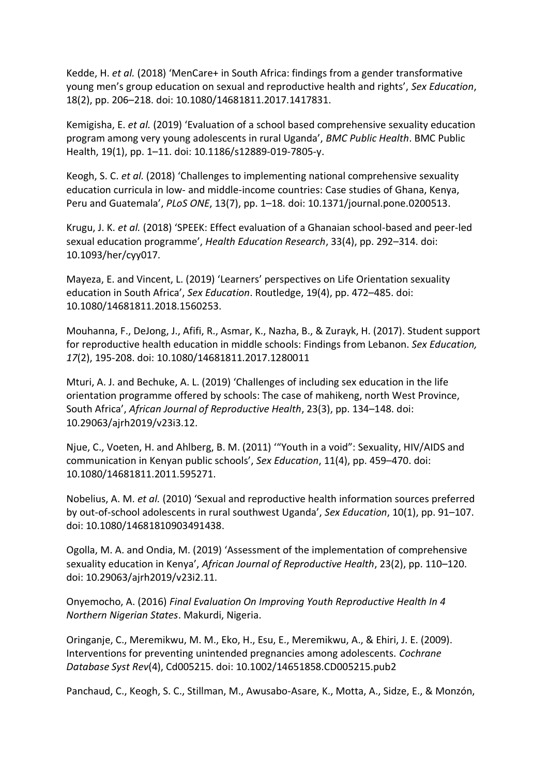Kedde, H. *et al.* (2018) 'MenCare+ in South Africa: findings from a gender transformative young men's group education on sexual and reproductive health and rights', *Sex Education*, 18(2), pp. 206–218. doi: 10.1080/14681811.2017.1417831.

Kemigisha, E. *et al.* (2019) 'Evaluation of a school based comprehensive sexuality education program among very young adolescents in rural Uganda', *BMC Public Health*. BMC Public Health, 19(1), pp. 1–11. doi: 10.1186/s12889-019-7805-y.

Keogh, S. C. *et al.* (2018) 'Challenges to implementing national comprehensive sexuality education curricula in low- and middle-income countries: Case studies of Ghana, Kenya, Peru and Guatemala', *PLoS ONE*, 13(7), pp. 1–18. doi: 10.1371/journal.pone.0200513.

Krugu, J. K. *et al.* (2018) 'SPEEK: Effect evaluation of a Ghanaian school-based and peer-led sexual education programme', *Health Education Research*, 33(4), pp. 292–314. doi: 10.1093/her/cyy017.

Mayeza, E. and Vincent, L. (2019) 'Learners' perspectives on Life Orientation sexuality education in South Africa', *Sex Education*. Routledge, 19(4), pp. 472–485. doi: 10.1080/14681811.2018.1560253.

Mouhanna, F., DeJong, J., Afifi, R., Asmar, K., Nazha, B., & Zurayk, H. (2017). Student support for reproductive health education in middle schools: Findings from Lebanon. *Sex Education, 17*(2), 195-208. doi: 10.1080/14681811.2017.1280011

Mturi, A. J. and Bechuke, A. L. (2019) 'Challenges of including sex education in the life orientation programme offered by schools: The case of mahikeng, north West Province, South Africa', *African Journal of Reproductive Health*, 23(3), pp. 134–148. doi: 10.29063/ajrh2019/v23i3.12.

Njue, C., Voeten, H. and Ahlberg, B. M. (2011) '"Youth in a void": Sexuality, HIV/AIDS and communication in Kenyan public schools', *Sex Education*, 11(4), pp. 459–470. doi: 10.1080/14681811.2011.595271.

Nobelius, A. M. *et al.* (2010) 'Sexual and reproductive health information sources preferred by out-of-school adolescents in rural southwest Uganda', *Sex Education*, 10(1), pp. 91–107. doi: 10.1080/14681810903491438.

Ogolla, M. A. and Ondia, M. (2019) 'Assessment of the implementation of comprehensive sexuality education in Kenya', *African Journal of Reproductive Health*, 23(2), pp. 110–120. doi: 10.29063/ajrh2019/v23i2.11.

Onyemocho, A. (2016) *Final Evaluation On Improving Youth Reproductive Health In 4 Northern Nigerian States*. Makurdi, Nigeria.

Oringanje, C., Meremikwu, M. M., Eko, H., Esu, E., Meremikwu, A., & Ehiri, J. E. (2009). Interventions for preventing unintended pregnancies among adolescents. *Cochrane Database Syst Rev*(4), Cd005215. doi: 10.1002/14651858.CD005215.pub2

Panchaud, C., Keogh, S. C., Stillman, M., Awusabo-Asare, K., Motta, A., Sidze, E., & Monzón,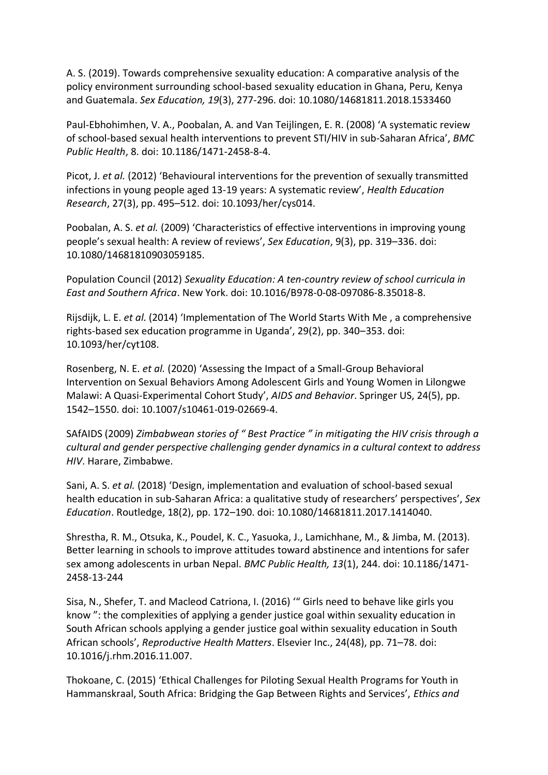A. S. (2019). Towards comprehensive sexuality education: A comparative analysis of the policy environment surrounding school-based sexuality education in Ghana, Peru, Kenya and Guatemala. *Sex Education, 19*(3), 277-296. doi: 10.1080/14681811.2018.1533460

Paul-Ebhohimhen, V. A., Poobalan, A. and Van Teijlingen, E. R. (2008) 'A systematic review of school-based sexual health interventions to prevent STI/HIV in sub-Saharan Africa', *BMC Public Health*, 8. doi: 10.1186/1471-2458-8-4.

Picot, J. *et al.* (2012) 'Behavioural interventions for the prevention of sexually transmitted infections in young people aged 13-19 years: A systematic review', *Health Education Research*, 27(3), pp. 495–512. doi: 10.1093/her/cys014.

Poobalan, A. S. *et al.* (2009) 'Characteristics of effective interventions in improving young people's sexual health: A review of reviews', *Sex Education*, 9(3), pp. 319–336. doi: 10.1080/14681810903059185.

Population Council (2012) *Sexuality Education: A ten-country review of school curricula in East and Southern Africa*. New York. doi: 10.1016/B978-0-08-097086-8.35018-8.

Rijsdijk, L. E. *et al.* (2014) 'Implementation of The World Starts With Me , a comprehensive rights-based sex education programme in Uganda', 29(2), pp. 340–353. doi: 10.1093/her/cyt108.

Rosenberg, N. E. *et al.* (2020) 'Assessing the Impact of a Small-Group Behavioral Intervention on Sexual Behaviors Among Adolescent Girls and Young Women in Lilongwe Malawi: A Quasi-Experimental Cohort Study', *AIDS and Behavior*. Springer US, 24(5), pp. 1542–1550. doi: 10.1007/s10461-019-02669-4.

SAfAIDS (2009) *Zimbabwean stories of " Best Practice " in mitigating the HIV crisis through a cultural and gender perspective challenging gender dynamics in a cultural context to address HIV*. Harare, Zimbabwe.

Sani, A. S. *et al.* (2018) 'Design, implementation and evaluation of school-based sexual health education in sub-Saharan Africa: a qualitative study of researchers' perspectives', *Sex Education*. Routledge, 18(2), pp. 172–190. doi: 10.1080/14681811.2017.1414040.

Shrestha, R. M., Otsuka, K., Poudel, K. C., Yasuoka, J., Lamichhane, M., & Jimba, M. (2013). Better learning in schools to improve attitudes toward abstinence and intentions for safer sex among adolescents in urban Nepal. *BMC Public Health, 13*(1), 244. doi: 10.1186/1471- 2458-13-244

Sisa, N., Shefer, T. and Macleod Catriona, I. (2016) '" Girls need to behave like girls you know ": the complexities of applying a gender justice goal within sexuality education in South African schools applying a gender justice goal within sexuality education in South African schools', *Reproductive Health Matters*. Elsevier Inc., 24(48), pp. 71–78. doi: 10.1016/j.rhm.2016.11.007.

Thokoane, C. (2015) 'Ethical Challenges for Piloting Sexual Health Programs for Youth in Hammanskraal, South Africa: Bridging the Gap Between Rights and Services', *Ethics and*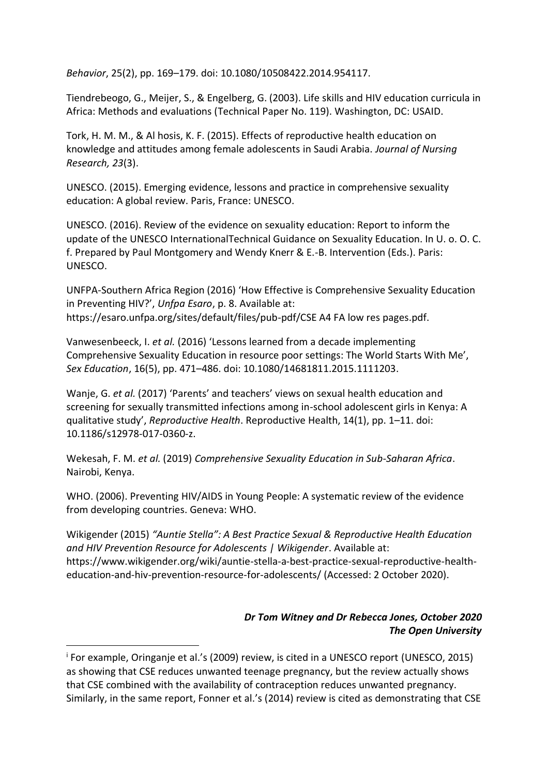*Behavior*, 25(2), pp. 169–179. doi: 10.1080/10508422.2014.954117.

Tiendrebeogo, G., Meijer, S., & Engelberg, G. (2003). Life skills and HIV education curricula in Africa: Methods and evaluations (Technical Paper No. 119). Washington, DC: USAID.

Tork, H. M. M., & Al hosis, K. F. (2015). Effects of reproductive health education on knowledge and attitudes among female adolescents in Saudi Arabia. *Journal of Nursing Research, 23*(3).

UNESCO. (2015). Emerging evidence, lessons and practice in comprehensive sexuality education: A global review. Paris, France: UNESCO.

UNESCO. (2016). Review of the evidence on sexuality education: Report to inform the update of the UNESCO InternationalTechnical Guidance on Sexuality Education. In U. o. O. C. f. Prepared by Paul Montgomery and Wendy Knerr & E.-B. Intervention (Eds.). Paris: UNESCO.

UNFPA-Southern Africa Region (2016) 'How Effective is Comprehensive Sexuality Education in Preventing HIV?', *Unfpa Esaro*, p. 8. Available at: https://esaro.unfpa.org/sites/default/files/pub-pdf/CSE A4 FA low res pages.pdf.

Vanwesenbeeck, I. *et al.* (2016) 'Lessons learned from a decade implementing Comprehensive Sexuality Education in resource poor settings: The World Starts With Me', *Sex Education*, 16(5), pp. 471–486. doi: 10.1080/14681811.2015.1111203.

Wanje, G. *et al.* (2017) 'Parents' and teachers' views on sexual health education and screening for sexually transmitted infections among in-school adolescent girls in Kenya: A qualitative study', *Reproductive Health*. Reproductive Health, 14(1), pp. 1–11. doi: 10.1186/s12978-017-0360-z.

Wekesah, F. M. *et al.* (2019) *Comprehensive Sexuality Education in Sub-Saharan Africa*. Nairobi, Kenya.

WHO. (2006). Preventing HIV/AIDS in Young People: A systematic review of the evidence from developing countries. Geneva: WHO.

Wikigender (2015) *"Auntie Stella": A Best Practice Sexual & Reproductive Health Education and HIV Prevention Resource for Adolescents | Wikigender*. Available at: https://www.wikigender.org/wiki/auntie-stella-a-best-practice-sexual-reproductive-healtheducation-and-hiv-prevention-resource-for-adolescents/ (Accessed: 2 October 2020).

## *Dr Tom Witney and Dr Rebecca Jones, October 2020 The Open University*

<sup>i</sup> For example, Oringanje et al.'s (2009) review, is cited in a UNESCO report (UNESCO, 2015) as showing that CSE reduces unwanted teenage pregnancy, but the review actually shows that CSE combined with the availability of contraception reduces unwanted pregnancy. Similarly, in the same report, Fonner et al.'s (2014) review is cited as demonstrating that CSE